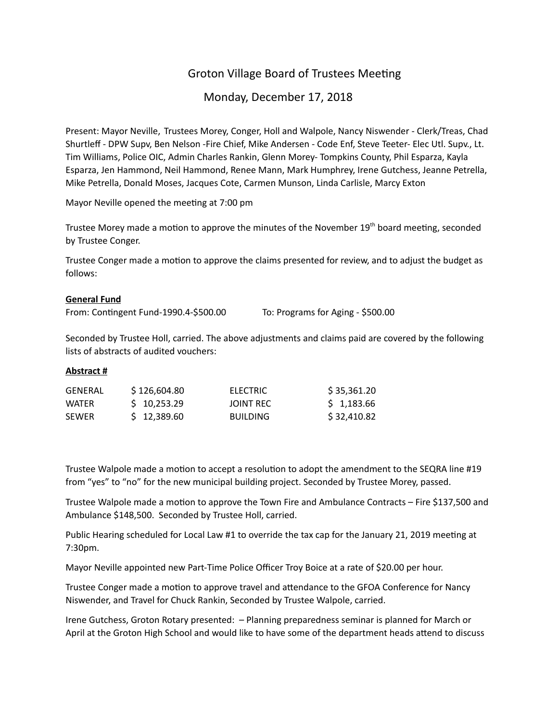# Groton Village Board of Trustees Meeting

# Monday, December 17, 2018

Present: Mayor Neville, Trustees Morey, Conger, Holl and Walpole, Nancy Niswender - Clerk/Treas, Chad Shurtleff - DPW Supv, Ben Nelson -Fire Chief, Mike Andersen - Code Enf, Steve Teeter- Elec Utl. Supv., Lt. Tim Williams, Police OIC, Admin Charles Rankin, Glenn Morey- Tompkins County, Phil Esparza, Kayla Esparza, Jen Hammond, Neil Hammond, Renee Mann, Mark Humphrey, Irene Gutchess, Jeanne Petrella, Mike Petrella, Donald Moses, Jacques Cote, Carmen Munson, Linda Carlisle, Marcy Exton

Mayor Neville opened the meeting at 7:00 pm

Trustee Morey made a motion to approve the minutes of the November 19<sup>th</sup> board meeting, seconded by Trustee Conger.

Trustee Conger made a motion to approve the claims presented for review, and to adjust the budget as follows:

#### **General Fund**

From: Contingent Fund-1990.4-\$500.00 To: Programs for Aging - \$500.00

Seconded by Trustee Holl, carried. The above adjustments and claims paid are covered by the following lists of abstracts of audited vouchers:

## **Abstract #**

| GENERAL      | \$126,604.80 | ELECTRIC        | \$35,361.20 |
|--------------|--------------|-----------------|-------------|
| WATFR        | \$10,253.29  | JOINT REC       | \$1,183.66  |
| <b>SEWER</b> | \$12,389.60  | <b>BUILDING</b> | \$32,410.82 |

Trustee Walpole made a motion to accept a resolution to adopt the amendment to the SEQRA line #19 from "yes" to "no" for the new municipal building project. Seconded by Trustee Morey, passed.

Trustee Walpole made a motion to approve the Town Fire and Ambulance Contracts – Fire \$137,500 and Ambulance \$148,500. Seconded by Trustee Holl, carried.

Public Hearing scheduled for Local Law #1 to override the tax cap for the January 21, 2019 meeting at 7:30pm.

Mayor Neville appointed new Part-Time Police Officer Troy Boice at a rate of \$20.00 per hour.

Trustee Conger made a motion to approve travel and attendance to the GFOA Conference for Nancy Niswender, and Travel for Chuck Rankin, Seconded by Trustee Walpole, carried.

Irene Gutchess, Groton Rotary presented: – Planning preparedness seminar is planned for March or April at the Groton High School and would like to have some of the department heads attend to discuss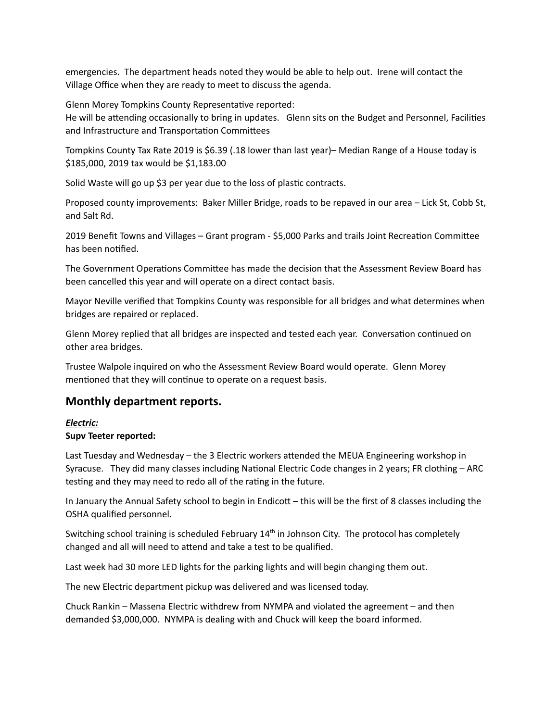emergencies. The department heads noted they would be able to help out. Irene will contact the Village Office when they are ready to meet to discuss the agenda.

Glenn Morey Tompkins County Representative reported:

He will be attending occasionally to bring in updates. Glenn sits on the Budget and Personnel, Facilities and Infrastructure and Transportation Committees

Tompkins County Tax Rate 2019 is \$6.39 (.18 lower than last year)– Median Range of a House today is \$185,000, 2019 tax would be \$1,183.00

Solid Waste will go up \$3 per year due to the loss of plastic contracts.

Proposed county improvements: Baker Miller Bridge, roads to be repaved in our area – Lick St, Cobb St, and Salt Rd.

2019 Benefit Towns and Villages - Grant program - \$5,000 Parks and trails Joint Recreation Committee has been notified.

The Government Operations Committee has made the decision that the Assessment Review Board has been cancelled this year and will operate on a direct contact basis.

Mayor Neville verified that Tompkins County was responsible for all bridges and what determines when bridges are repaired or replaced.

Glenn Morey replied that all bridges are inspected and tested each year. Conversation continued on other area bridges.

Trustee Walpole inquired on who the Assessment Review Board would operate. Glenn Morey mentioned that they will continue to operate on a request basis.

# **Monthly department reports.**

# *Electric:*

## **Supv Teeter reported:**

Last Tuesday and Wednesday – the 3 Electric workers attended the MEUA Engineering workshop in Syracuse. They did many classes including National Electric Code changes in 2 years; FR clothing – ARC testing and they may need to redo all of the rating in the future.

In January the Annual Safety school to begin in Endicott – this will be the first of 8 classes including the OSHA qualified personnel.

Switching school training is scheduled February  $14<sup>th</sup>$  in Johnson City. The protocol has completely changed and all will need to attend and take a test to be qualified.

Last week had 30 more LED lights for the parking lights and will begin changing them out.

The new Electric department pickup was delivered and was licensed today.

Chuck Rankin – Massena Electric withdrew from NYMPA and violated the agreement – and then demanded \$3,000,000. NYMPA is dealing with and Chuck will keep the board informed.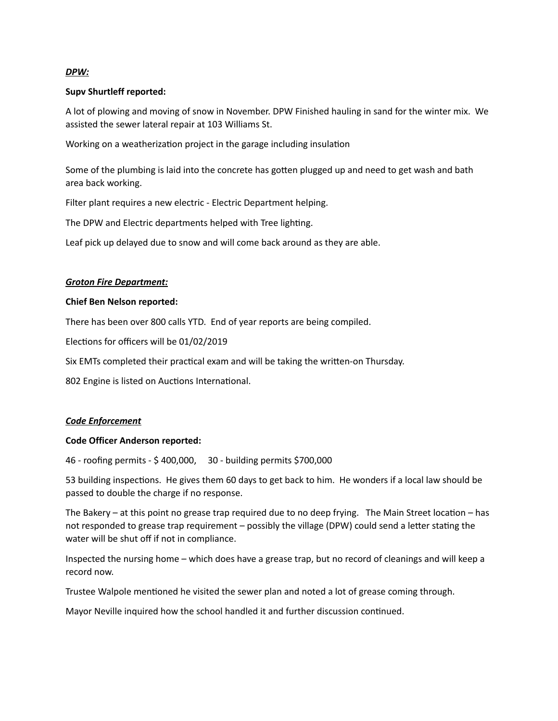### *DPW:*

### **Supv Shurtleff reported:**

A lot of plowing and moving of snow in November. DPW Finished hauling in sand for the winter mix. We assisted the sewer lateral repair at 103 Williams St.

Working on a weatherization project in the garage including insulation

Some of the plumbing is laid into the concrete has gotten plugged up and need to get wash and bath area back working.

Filter plant requires a new electric - Electric Department helping.

The DPW and Electric departments helped with Tree lighting.

Leaf pick up delayed due to snow and will come back around as they are able.

### *Groton Fire Department:*

### **Chief Ben Nelson reported:**

There has been over 800 calls YTD. End of year reports are being compiled.

Elections for officers will be 01/02/2019

Six EMTs completed their practical exam and will be taking the written-on Thursday.

802 Engine is listed on Auctions International.

#### *Code Enforcement*

#### **Code Officer Anderson reported:**

46 - roofing permits - \$ 400,000, 30 - building permits \$700,000

53 building inspections. He gives them 60 days to get back to him. He wonders if a local law should be passed to double the charge if no response.

The Bakery – at this point no grease trap required due to no deep frying. The Main Street location – has not responded to grease trap requirement – possibly the village (DPW) could send a letter stating the water will be shut off if not in compliance.

Inspected the nursing home – which does have a grease trap, but no record of cleanings and will keep a record now.

Trustee Walpole mentioned he visited the sewer plan and noted a lot of grease coming through.

Mayor Neville inquired how the school handled it and further discussion continued.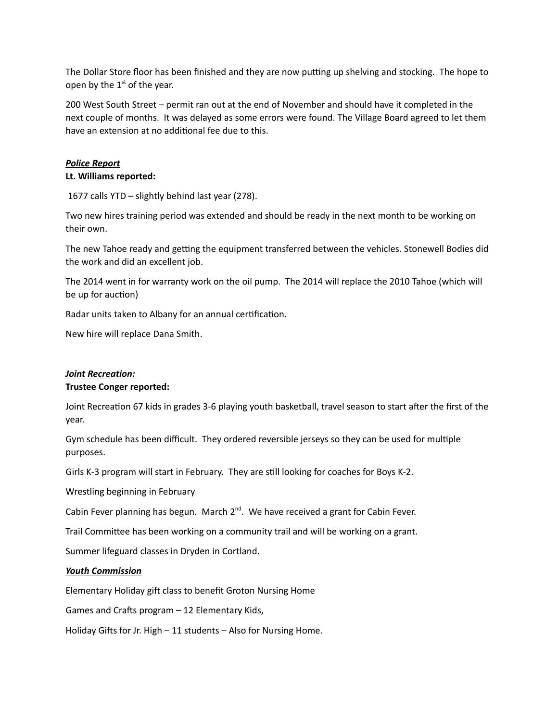The Dollar Store floor has been finished and they are now putting up shelving and stocking. The hope to open by the  $1<sup>st</sup>$  of the year.

200 West South Street – permit ran out at the end of November and should have it completed in the next couple of months. It was delayed as some errors were found. The Village Board agreed to let them have an extension at no additional fee due to this.

#### *Police Report*

#### **Lt. Williams reported:**

1677 calls YTD – slightly behind last year (278).

Two new hires training period was extended and should be ready in the next month to be working on their own.

The new Tahoe ready and getting the equipment transferred between the vehicles. Stonewell Bodies did the work and did an excellent job.

The 2014 went in for warranty work on the oil pump. The 2014 will replace the 2010 Tahoe (which will be up for auction)

Radar units taken to Albany for an annual certification.

New hire will replace Dana Smith.

# *Joint Recreation:*

#### **Trustee Conger reported:**

Joint Recreation 67 kids in grades 3-6 playing youth basketball, travel season to start after the first of the year.

Gym schedule has been difficult. They ordered reversible jerseys so they can be used for mulple purposes.

Girls K-3 program will start in February. They are still looking for coaches for Boys K-2.

Wrestling beginning in February

Cabin Fever planning has begun. March  $2^{nd}$ . We have received a grant for Cabin Fever.

Trail Committee has been working on a community trail and will be working on a grant.

Summer lifeguard classes in Dryden in Cortland.

#### *Youth Commission*

Elementary Holiday gift class to benefit Groton Nursing Home

Games and Crafts program - 12 Elementary Kids,

Holiday Gifts for Jr. High  $-11$  students  $-$  Also for Nursing Home.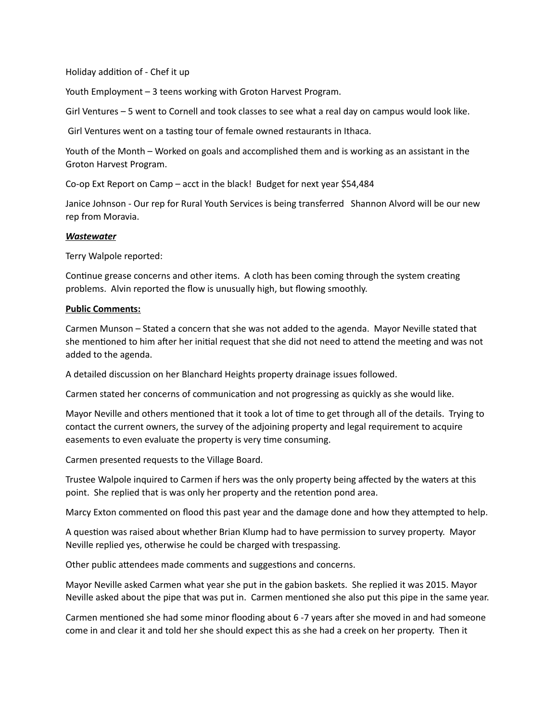Holiday addition of - Chef it up

Youth Employment – 3 teens working with Groton Harvest Program.

Girl Ventures – 5 went to Cornell and took classes to see what a real day on campus would look like.

Girl Ventures went on a tasting tour of female owned restaurants in Ithaca.

Youth of the Month – Worked on goals and accomplished them and is working as an assistant in the Groton Harvest Program.

Co-op Ext Report on Camp – acct in the black! Budget for next year \$54,484

Janice Johnson - Our rep for Rural Youth Services is being transferred Shannon Alvord will be our new rep from Moravia.

### *Wastewater*

Terry Walpole reported:

Continue grease concerns and other items. A cloth has been coming through the system creating problems. Alvin reported the flow is unusually high, but flowing smoothly.

### **Public Comments:**

Carmen Munson – Stated a concern that she was not added to the agenda. Mayor Neville stated that she mentioned to him after her initial request that she did not need to attend the meeting and was not added to the agenda.

A detailed discussion on her Blanchard Heights property drainage issues followed.

Carmen stated her concerns of communication and not progressing as quickly as she would like.

Mayor Neville and others mentioned that it took a lot of time to get through all of the details. Trying to contact the current owners, the survey of the adjoining property and legal requirement to acquire easements to even evaluate the property is very time consuming.

Carmen presented requests to the Village Board.

Trustee Walpole inquired to Carmen if hers was the only property being affected by the waters at this point. She replied that is was only her property and the retention pond area.

Marcy Exton commented on flood this past year and the damage done and how they attempted to help.

A question was raised about whether Brian Klump had to have permission to survey property. Mayor Neville replied yes, otherwise he could be charged with trespassing.

Other public attendees made comments and suggestions and concerns.

Mayor Neville asked Carmen what year she put in the gabion baskets. She replied it was 2015. Mayor Neville asked about the pipe that was put in. Carmen mentioned she also put this pipe in the same year.

Carmen mentioned she had some minor flooding about 6 -7 years after she moved in and had someone come in and clear it and told her she should expect this as she had a creek on her property. Then it